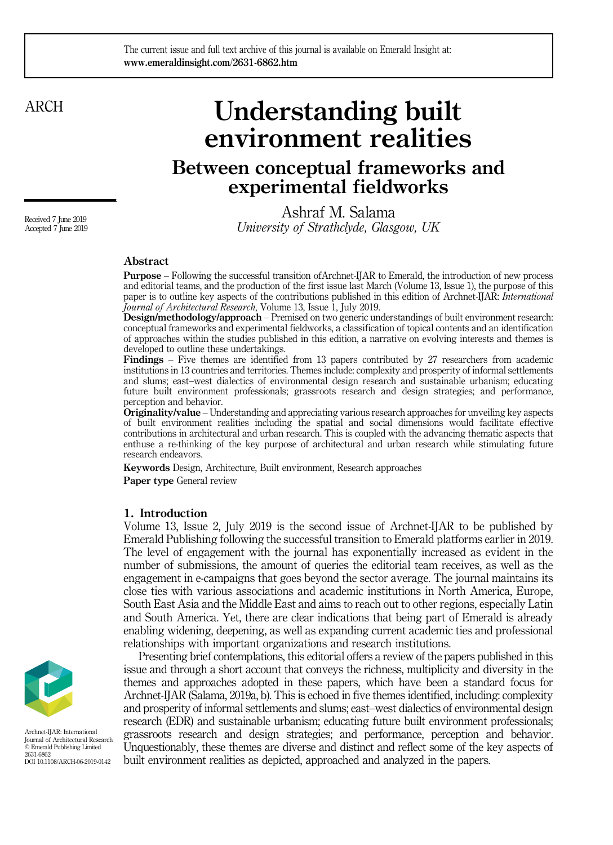#### The current issue and full text archive of this journal is available on Emerald Insight at: www.emeraldinsight.com/2631-6862.htm

## ARCH

# Understanding built environment realities Between conceptual frameworks and

experimental fieldworks

Ashraf M. Salama University of Strathclyde, Glasgow, UK

### Abstract

Purpose – Following the successful transition ofArchnet-IJAR to Emerald, the introduction of new process and editorial teams, and the production of the first issue last March (Volume 13, Issue 1), the purpose of this paper is to outline key aspects of the contributions published in this edition of Archnet-IJAR: International Journal of Architectural Research, Volume 13, Issue 1, July 2019.

Design/methodology/approach – Premised on two generic understandings of built environment research: conceptual frameworks and experimental fieldworks, a classification of topical contents and an identification of approaches within the studies published in this edition, a narrative on evolving interests and themes is developed to outline these undertakings.

Findings – Five themes are identified from 13 papers contributed by 27 researchers from academic institutions in 13 countries and territories. Themes include: complexity and prosperity of informal settlements and slums; east–west dialectics of environmental design research and sustainable urbanism; educating future built environment professionals; grassroots research and design strategies; and performance, perception and behavior.

Originality/value – Understanding and appreciating various research approaches for unveiling key aspects of built environment realities including the spatial and social dimensions would facilitate effective contributions in architectural and urban research. This is coupled with the advancing thematic aspects that enthuse a re-thinking of the key purpose of architectural and urban research while stimulating future research endeavors.

Keywords Design, Architecture, Built environment, Research approaches

Paper type General review

#### 1. Introduction

Volume 13, Issue 2, July 2019 is the second issue of Archnet-IJAR to be published by Emerald Publishing following the successful transition to Emerald platforms earlier in 2019. The level of engagement with the journal has exponentially increased as evident in the number of submissions, the amount of queries the editorial team receives, as well as the engagement in e-campaigns that goes beyond the sector average. The journal maintains its close ties with various associations and academic institutions in North America, Europe, South East Asia and the Middle East and aims to reach out to other regions, especially Latin and South America. Yet, there are clear indications that being part of Emerald is already enabling widening, deepening, as well as expanding current academic ties and professional relationships with important organizations and research institutions.

Presenting brief contemplations, this editorial offers a review of the papers published in this issue and through a short account that conveys the richness, multiplicity and diversity in the themes and approaches adopted in these papers, which have been a standard focus for Archnet-IJAR (Salama, 2019a, b). This is echoed in five themes identified, including: complexity and prosperity of informal settlements and slums; east–west dialectics of environmental design research (EDR) and sustainable urbanism; educating future built environment professionals; grassroots research and design strategies; and performance, perception and behavior. Unquestionably, these themes are diverse and distinct and reflect some of the key aspects of built environment realities as depicted, approached and analyzed in the papers.



Archnet-IJAR: International Journal of Architectural Research © Emerald Publishing Limited 2631-6862 DOI 10.1108/ARCH-06-2019-0142

Received 7 June 2019 Accepted 7 June 2019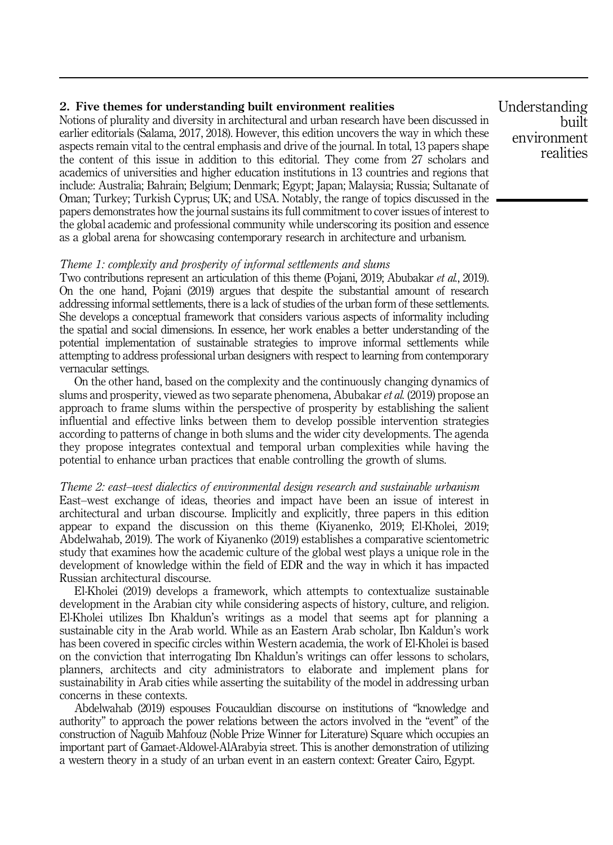#### 2. Five themes for understanding built environment realities

Notions of plurality and diversity in architectural and urban research have been discussed in earlier editorials (Salama, 2017, 2018). However, this edition uncovers the way in which these aspects remain vital to the central emphasis and drive of the journal. In total, 13 papers shape the content of this issue in addition to this editorial. They come from 27 scholars and academics of universities and higher education institutions in 13 countries and regions that include: Australia; Bahrain; Belgium; Denmark; Egypt; Japan; Malaysia; Russia; Sultanate of Oman; Turkey; Turkish Cyprus; UK; and USA. Notably, the range of topics discussed in the papers demonstrates how the journal sustains its full commitment to cover issues of interest to the global academic and professional community while underscoring its position and essence as a global arena for showcasing contemporary research in architecture and urbanism.

#### Theme 1: complexity and prosperity of informal settlements and slums

Two contributions represent an articulation of this theme (Pojani, 2019; Abubakar et al., 2019). On the one hand, Pojani (2019) argues that despite the substantial amount of research addressing informal settlements, there is a lack of studies of the urban form of these settlements. She develops a conceptual framework that considers various aspects of informality including the spatial and social dimensions. In essence, her work enables a better understanding of the potential implementation of sustainable strategies to improve informal settlements while attempting to address professional urban designers with respect to learning from contemporary vernacular settings.

On the other hand, based on the complexity and the continuously changing dynamics of slums and prosperity, viewed as two separate phenomena, Abubakar *et al.* (2019) propose an approach to frame slums within the perspective of prosperity by establishing the salient influential and effective links between them to develop possible intervention strategies according to patterns of change in both slums and the wider city developments. The agenda they propose integrates contextual and temporal urban complexities while having the potential to enhance urban practices that enable controlling the growth of slums.

#### Theme 2: east–west dialectics of environmental design research and sustainable urbanism

East–west exchange of ideas, theories and impact have been an issue of interest in architectural and urban discourse. Implicitly and explicitly, three papers in this edition appear to expand the discussion on this theme (Kiyanenko, 2019; El-Kholei, 2019; Abdelwahab, 2019). The work of Kiyanenko (2019) establishes a comparative scientometric study that examines how the academic culture of the global west plays a unique role in the development of knowledge within the field of EDR and the way in which it has impacted Russian architectural discourse.

El-Kholei (2019) develops a framework, which attempts to contextualize sustainable development in the Arabian city while considering aspects of history, culture, and religion. El-Kholei utilizes Ibn Khaldun's writings as a model that seems apt for planning a sustainable city in the Arab world. While as an Eastern Arab scholar, Ibn Kaldun's work has been covered in specific circles within Western academia, the work of El-Kholei is based on the conviction that interrogating Ibn Khaldun's writings can offer lessons to scholars, planners, architects and city administrators to elaborate and implement plans for sustainability in Arab cities while asserting the suitability of the model in addressing urban concerns in these contexts.

Abdelwahab (2019) espouses Foucauldian discourse on institutions of "knowledge and authority" to approach the power relations between the actors involved in the "event" of the construction of Naguib Mahfouz (Noble Prize Winner for Literature) Square which occupies an important part of Gamaet-Aldowel-AlArabyia street. This is another demonstration of utilizing a western theory in a study of an urban event in an eastern context: Greater Cairo, Egypt.

Understanding built environment realities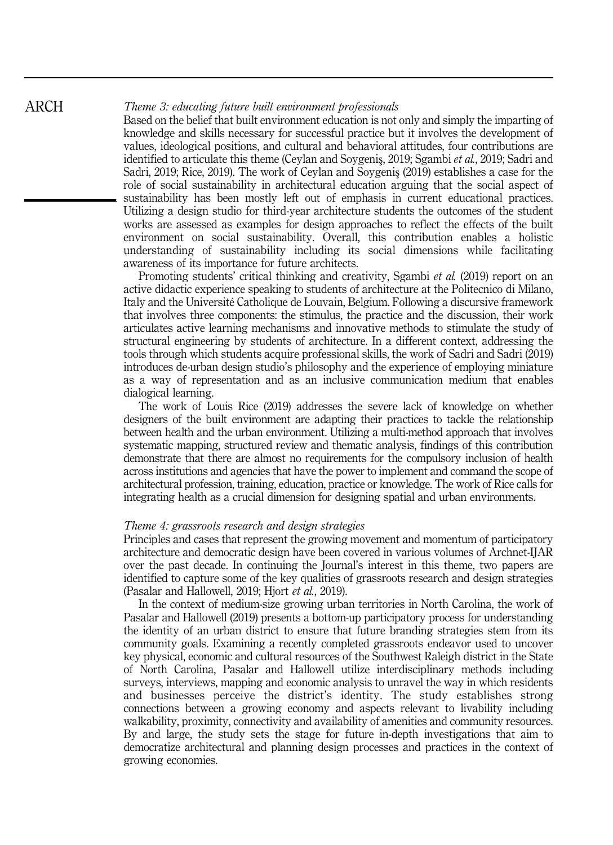#### Theme 3: educating future built environment professionals

Based on the belief that built environment education is not only and simply the imparting of knowledge and skills necessary for successful practice but it involves the development of values, ideological positions, and cultural and behavioral attitudes, four contributions are identified to articulate this theme (Ceylan and Soygenis, 2019; Sgambi et al., 2019; Sadri and Sadri, 2019; Rice, 2019). The work of Ceylan and Soygeniş (2019) establishes a case for the role of social sustainability in architectural education arguing that the social aspect of sustainability has been mostly left out of emphasis in current educational practices. Utilizing a design studio for third-year architecture students the outcomes of the student works are assessed as examples for design approaches to reflect the effects of the built environment on social sustainability. Overall, this contribution enables a holistic understanding of sustainability including its social dimensions while facilitating awareness of its importance for future architects.

Promoting students' critical thinking and creativity, Sgambi *et al.* (2019) report on an active didactic experience speaking to students of architecture at the Politecnico di Milano, Italy and the Université Catholique de Louvain, Belgium. Following a discursive framework that involves three components: the stimulus, the practice and the discussion, their work articulates active learning mechanisms and innovative methods to stimulate the study of structural engineering by students of architecture. In a different context, addressing the tools through which students acquire professional skills, the work of Sadri and Sadri (2019) introduces de-urban design studio's philosophy and the experience of employing miniature as a way of representation and as an inclusive communication medium that enables dialogical learning.

The work of Louis Rice (2019) addresses the severe lack of knowledge on whether designers of the built environment are adapting their practices to tackle the relationship between health and the urban environment. Utilizing a multi-method approach that involves systematic mapping, structured review and thematic analysis, findings of this contribution demonstrate that there are almost no requirements for the compulsory inclusion of health across institutions and agencies that have the power to implement and command the scope of architectural profession, training, education, practice or knowledge. The work of Rice calls for integrating health as a crucial dimension for designing spatial and urban environments.

#### Theme 4: grassroots research and design strategies

Principles and cases that represent the growing movement and momentum of participatory architecture and democratic design have been covered in various volumes of Archnet-IJAR over the past decade. In continuing the Journal's interest in this theme, two papers are identified to capture some of the key qualities of grassroots research and design strategies (Pasalar and Hallowell, 2019; Hjort et al., 2019).

In the context of medium-size growing urban territories in North Carolina, the work of Pasalar and Hallowell (2019) presents a bottom-up participatory process for understanding the identity of an urban district to ensure that future branding strategies stem from its community goals. Examining a recently completed grassroots endeavor used to uncover key physical, economic and cultural resources of the Southwest Raleigh district in the State of North Carolina, Pasalar and Hallowell utilize interdisciplinary methods including surveys, interviews, mapping and economic analysis to unravel the way in which residents and businesses perceive the district's identity. The study establishes strong connections between a growing economy and aspects relevant to livability including walkability, proximity, connectivity and availability of amenities and community resources. By and large, the study sets the stage for future in-depth investigations that aim to democratize architectural and planning design processes and practices in the context of growing economies.

ARCH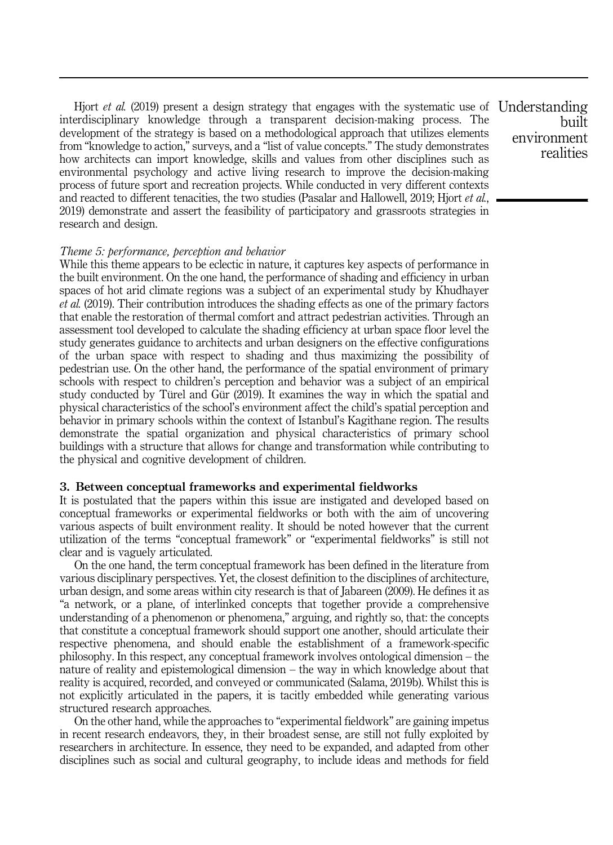Hjort *et al.* (2019) present a design strategy that engages with the systematic use of Understanding interdisciplinary knowledge through a transparent decision-making process. The development of the strategy is based on a methodological approach that utilizes elements from "knowledge to action," surveys, and a "list of value concepts." The study demonstrates how architects can import knowledge, skills and values from other disciplines such as environmental psychology and active living research to improve the decision-making process of future sport and recreation projects. While conducted in very different contexts and reacted to different tenacities, the two studies (Pasalar and Hallowell, 2019; Hjort *et al.*, 2019) demonstrate and assert the feasibility of participatory and grassroots strategies in research and design.

Theme 5: performance, perception and behavior

While this theme appears to be eclectic in nature, it captures key aspects of performance in the built environment. On the one hand, the performance of shading and efficiency in urban spaces of hot arid climate regions was a subject of an experimental study by Khudhayer et al. (2019). Their contribution introduces the shading effects as one of the primary factors that enable the restoration of thermal comfort and attract pedestrian activities. Through an assessment tool developed to calculate the shading efficiency at urban space floor level the study generates guidance to architects and urban designers on the effective configurations of the urban space with respect to shading and thus maximizing the possibility of pedestrian use. On the other hand, the performance of the spatial environment of primary schools with respect to children's perception and behavior was a subject of an empirical study conducted by Türel and Gür (2019). It examines the way in which the spatial and physical characteristics of the school's environment affect the child's spatial perception and behavior in primary schools within the context of Istanbul's Kagithane region. The results demonstrate the spatial organization and physical characteristics of primary school buildings with a structure that allows for change and transformation while contributing to the physical and cognitive development of children.

#### 3. Between conceptual frameworks and experimental fieldworks

It is postulated that the papers within this issue are instigated and developed based on conceptual frameworks or experimental fieldworks or both with the aim of uncovering various aspects of built environment reality. It should be noted however that the current utilization of the terms "conceptual framework" or "experimental fieldworks" is still not clear and is vaguely articulated.

On the one hand, the term conceptual framework has been defined in the literature from various disciplinary perspectives. Yet, the closest definition to the disciplines of architecture, urban design, and some areas within city research is that of Jabareen (2009). He defines it as "a network, or a plane, of interlinked concepts that together provide a comprehensive understanding of a phenomenon or phenomena," arguing, and rightly so, that: the concepts that constitute a conceptual framework should support one another, should articulate their respective phenomena, and should enable the establishment of a framework-specific philosophy. In this respect, any conceptual framework involves ontological dimension – the nature of reality and epistemological dimension – the way in which knowledge about that reality is acquired, recorded, and conveyed or communicated (Salama, 2019b). Whilst this is not explicitly articulated in the papers, it is tacitly embedded while generating various structured research approaches.

On the other hand, while the approaches to "experimental fieldwork" are gaining impetus in recent research endeavors, they, in their broadest sense, are still not fully exploited by researchers in architecture. In essence, they need to be expanded, and adapted from other disciplines such as social and cultural geography, to include ideas and methods for field

built environment realities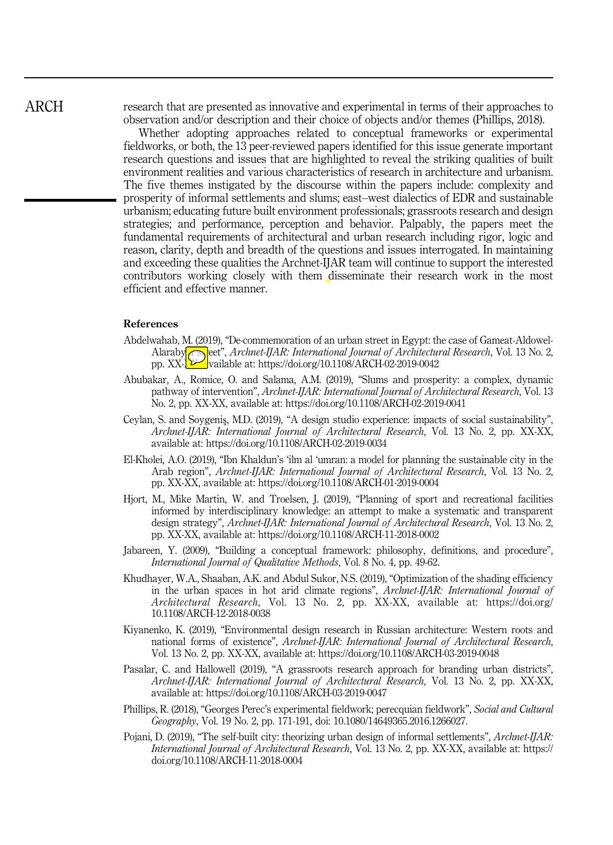ARCH

research that are presented as innovative and experimental in terms of their approaches to observation and/or description and their choice of objects and/or themes (Phillips, 2018).

Whether adopting approaches related to conceptual frameworks or experimental fieldworks, or both, the 13 peer-reviewed papers identified for this issue generate important research questions and issues that are highlighted to reveal the striking qualities of built environment realities and various characteristics of research in architecture and urbanism. The five themes instigated by the discourse within the papers include: complexity and prosperity of informal settlements and slums; east–west dialectics of EDR and sustainable urbanism; educating future built environment professionals; grassroots research and design strategies; and performance, perception and behavior. Palpably, the papers meet the fundamental requirements of architectural and urban research including rigor, logic and reason, clarity, depth and breadth of the questions and issues interrogated. In maintaining and exceeding these qualities the Archnet-IJAR team will continue to support the interested contributors working closely with them disseminate their research work in the most efficient and effective manner.

#### References

- Abdelwahab, M. (2019), "De-commemoration of an urban street in Egypt: the case of Gameat-Aldowel-Alaraby**ia straet",** Archnet-IJAR: International Journal of Architectural Research, Vol. 13 No. 2, pp. XX-X<sup>X</sup>/vailable at:<https://doi.org/10.1108/ARCH-02-2019-0042>
- Abubakar, A., Romice, O. and Salama, A.M. (2019), "Slums and prosperity: a complex, dynamic pathway of intervention", Archnet-IJAR: International Journal of Architectural Research, Vol. 13 No. 2, pp. XX-XX, available at:<https://doi.org/10.1108/ARCH-02-2019-0041>
- Ceylan, S. and Soygeniş, M.D. (2019), "A design studio experience: impacts of social sustainability", Archnet-IJAR: International Journal of Architectural Research, Vol. 13 No. 2, pp. XX-XX, available at:<https://doi.org/10.1108/ARCH-02-2019-0034>
- El-Kholei, A.O. (2019), "Ibn Khaldun's 'ilm al 'umran: a model for planning the sustainable city in the Arab region", Archnet-IJAR: International Journal of Architectural Research, Vol. 13 No. 2, pp. XX-XX, available at:<https://doi.org/10.1108/ARCH-01-2019-0004>
- Hjort, M., Mike Martin, W. and Troelsen, J. (2019), "Planning of sport and recreational facilities informed by interdisciplinary knowledge: an attempt to make a systematic and transparent design strategy", Archnet-IJAR: International Journal of Architectural Research, Vol. 13 No. 2, pp. XX-XX, available at:<https://doi.org/10.1108/ARCH-11-2018-0002>
- Jabareen, Y. (2009), "Building a conceptual framework: philosophy, definitions, and procedure", International Journal of Qualitative Methods, Vol. 8 No. 4, pp. 49-62.
- Khudhayer, W.A., Shaaban, A.K. and Abdul Sukor, N.S. (2019), "Optimization of the shading efficiency in the urban spaces in hot arid climate regions", Archnet-IJAR: International Journal of Architectural Research, Vol. 13 No. 2, pp. XX-XX, available at: [https://doi.org/](https://doi.org/10.1108/ARCH-12-2018-0038) [10.1108/ARCH-12-2018-0038](https://doi.org/10.1108/ARCH-12-2018-0038)
- Kiyanenko, K. (2019), "Environmental design research in Russian architecture: Western roots and national forms of existence", Archnet-IJAR: International Journal of Architectural Research, Vol. 13 No. 2, pp. XX-XX, available at:<https://doi.org/10.1108/ARCH-03-2019-0048>
- Pasalar, C. and Hallowell (2019), "A grassroots research approach for branding urban districts", Archnet-IJAR: International Journal of Architectural Research, Vol. 13 No. 2, pp. XX-XX, available at:<https://doi.org/10.1108/ARCH-03-2019-0047>
- Phillips, R. (2018), "Georges Perec's experimental fieldwork; perecquian fieldwork", Social and Cultural Geography, Vol. 19 No. 2, pp. 171-191, doi: 10.1080/14649365.2016.1266027.
- Pojani, D. (2019), "The self-built city: theorizing urban design of informal settlements", Archnet-IJAR: International Journal of Architectural Research, Vol. 13 No. 2, pp. XX-XX, available at: [https://](https://doi.org/10.1108/ARCH-11-2018-0004) [doi.org/10.1108/ARCH-11-2018-0004](https://doi.org/10.1108/ARCH-11-2018-0004)